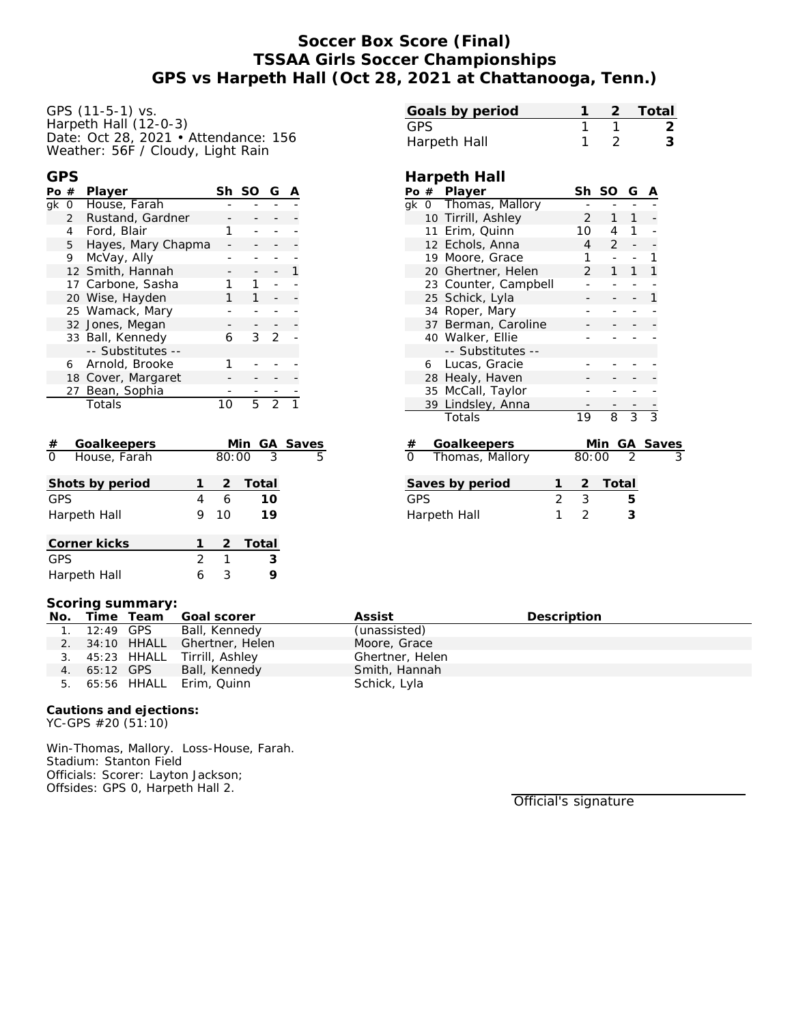## **Soccer Box Score (Final) TSSAA Girls Soccer Championships GPS vs Harpeth Hall (Oct 28, 2021 at Chattanooga, Tenn.)**

GPS (11-5-1) vs. Harpeth Hall (12-0-3) Date: Oct 28, 2021 • Attendance: 156 Weather: 56F / Cloudy, Light Rain

### **GPS**

| Pο | #              | Player             | Sh | -SO | G |  |
|----|----------------|--------------------|----|-----|---|--|
| ak | 0              | House, Farah       |    |     |   |  |
|    | $\mathbf{2}$   | Rustand, Gardner   |    |     |   |  |
|    | $\overline{4}$ | Ford, Blair        |    |     |   |  |
|    | 5              | Hayes, Mary Chapma |    |     |   |  |
|    | 9              | McVay, Ally        |    |     |   |  |
|    |                | 12 Smith, Hannah   |    |     |   |  |
|    |                | 17 Carbone, Sasha  |    |     |   |  |
|    |                | 20 Wise, Hayden    |    |     |   |  |
|    |                | 25 Wamack, Mary    |    |     |   |  |
|    |                | 32 Jones, Megan    |    |     |   |  |
|    |                | 33 Ball, Kennedy   | 6  | 3   | フ |  |
|    |                | -- Substitutes --  |    |     |   |  |
|    |                | 6 Arnold, Brooke   |    |     |   |  |
|    |                | 18 Cover, Margaret |    |     |   |  |
|    |                | 27 Bean, Sophia    |    |     |   |  |
|    |                | Totals             |    |     |   |  |

| Goalkeepers<br>#         |   |       | Min GA Saves |   |
|--------------------------|---|-------|--------------|---|
| $\Omega$<br>House, Farah |   | 80:00 | -3           | 5 |
| Shots by period          |   |       | 2 Total      |   |
| <b>GPS</b>               | 4 | 6     | 10           |   |
| Harpeth Hall             | 9 | 10    | 19           |   |
| Corner kicks             |   | 2     | Total        |   |
| <b>GPS</b>               | 2 | 1     | 3            |   |
| Harpeth Hall             | 6 | 3     |              |   |

| Goals by period |  | 1 2 Total |
|-----------------|--|-----------|
| GPS.            |  |           |
| Harpeth Hall    |  |           |

### **Harpeth Hall**

|                              |    | Po # Player          |                | Sh             | SO             | G              | A              |  |
|------------------------------|----|----------------------|----------------|----------------|----------------|----------------|----------------|--|
|                              |    | gk 0 Thomas, Mallory |                |                |                |                |                |  |
|                              |    | 10 Tirrill, Ashley   | $\overline{2}$ | 1              | 1              |                |                |  |
|                              |    | 11 Erim, Quinn       |                | 10             | 4              | 1              |                |  |
|                              |    | 12 Echols, Anna      |                | 4              | $\overline{2}$ |                |                |  |
|                              |    | 19 Moore, Grace      |                | 1              |                |                | 1              |  |
|                              |    | 20 Ghertner, Helen   |                | $\overline{2}$ | 1              | 1              | 1              |  |
|                              |    | 23 Counter, Campbell |                |                |                |                |                |  |
|                              |    | 25 Schick, Lyla      |                |                |                |                | 1              |  |
|                              | 34 | Roper, Mary          |                |                |                |                |                |  |
|                              |    | 37 Berman, Caroline  |                |                |                |                |                |  |
|                              |    | 40 Walker, Ellie     |                |                |                |                |                |  |
|                              |    | -- Substitutes --    |                |                |                |                |                |  |
|                              | 6  | Lucas, Gracie        |                |                |                |                |                |  |
|                              |    | 28 Healy, Haven      |                |                |                |                |                |  |
|                              |    | 35 McCall, Taylor    |                |                |                |                |                |  |
|                              |    | 39 Lindsley, Anna    |                |                |                |                |                |  |
|                              |    | Totals               |                | 19             | 8              | $\overline{3}$ | $\overline{3}$ |  |
|                              |    |                      |                |                |                |                |                |  |
| #                            |    | Goalkeepers          |                |                | Min            |                | GA Saves       |  |
| $\Omega$                     |    | Thomas, Mallory      |                | 80:00          |                | $\overline{2}$ |                |  |
|                              |    |                      |                |                |                |                |                |  |
|                              |    | Saves by period      | 1              | 2              | Total          |                |                |  |
| $\overline{2}$<br><b>GPS</b> |    |                      |                |                |                | 5              |                |  |
|                              |    |                      | 1              | 3<br>2         |                | 3              |                |  |
| Harpeth Hall                 |    |                      |                |                |                |                |                |  |

#### **Scoring summary:**

| No. | Time Team    | Goal scorer                    | Assist          | Description |
|-----|--------------|--------------------------------|-----------------|-------------|
|     | 1. 12:49 GPS | Ball, Kennedy                  | (unassisted)    |             |
|     |              | 2. 34:10 HHALL Ghertner, Helen | Moore, Grace    |             |
|     |              | 3. 45:23 HHALL Tirrill, Ashley | Ghertner, Helen |             |
|     | 4. 65:12 GPS | Ball, Kennedy                  | Smith, Hannah   |             |
|     |              | 5. 65:56 HHALL Erim, Quinn     | Schick, Lyla    |             |

**Cautions and ejections:** YC-GPS #20 (51:10)

Win-Thomas, Mallory. Loss-House, Farah. Stadium: Stanton Field Officials: Scorer: Layton Jackson; Offsides: GPS 0, Harpeth Hall 2.

Official's signature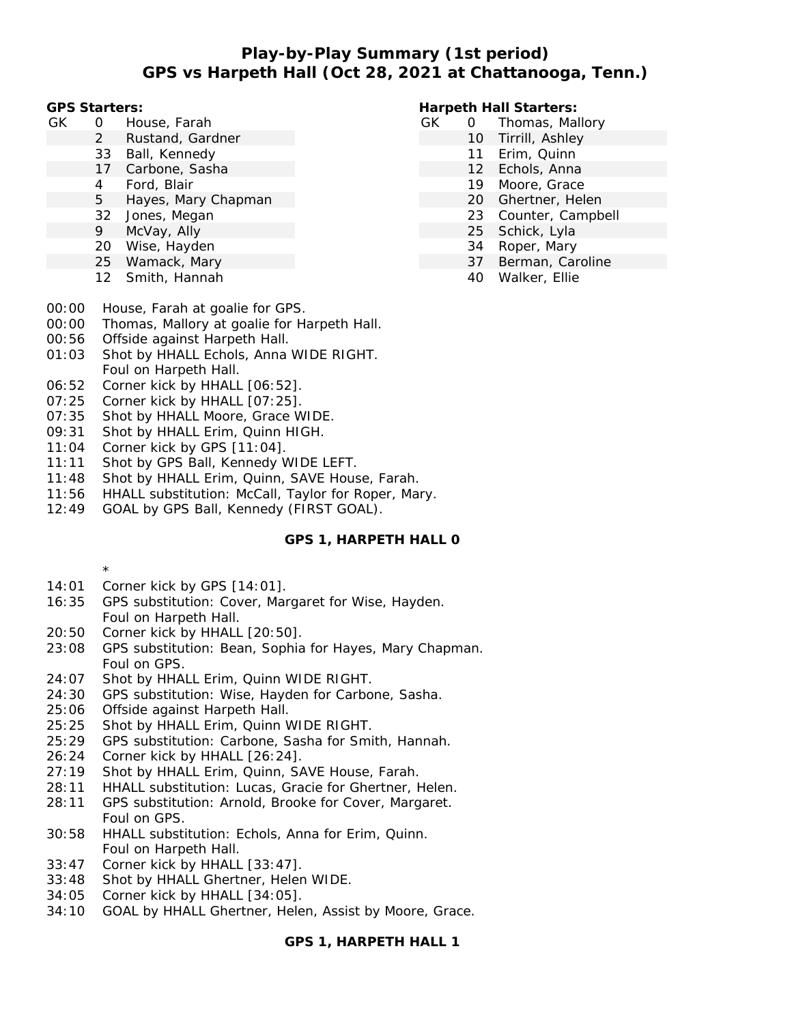## **Play-by-Play Summary (1st period) GPS vs Harpeth Hall (Oct 28, 2021 at Chattanooga, Tenn.)**

**GPS Starters:**

- GK 0 House, Farah
	- 2 Rustand, Gardner
	- 33 Ball, Kennedy
	- 17 Carbone, Sasha
	- 4 Ford, Blair
	- 5 Hayes, Mary Chapman
	- 32 Jones, Megan
	- 9 McVay, Ally
	- 20 Wise, Hayden
	- 25 Wamack, Mary
	- 12 Smith, Hannah
- 00:00 House, Farah at goalie for GPS.
- 00:00 Thomas, Mallory at goalie for Harpeth Hall.
- 00:56 Offside against Harpeth Hall.
- 01:03 Shot by HHALL Echols, Anna WIDE RIGHT. Foul on Harpeth Hall.
- 06:52 Corner kick by HHALL [06:52].
- 07:25 Corner kick by HHALL [07:25].
- 07:35 Shot by HHALL Moore, Grace WIDE.
- 09:31 Shot by HHALL Erim, Quinn HIGH.
- 11:04 Corner kick by GPS [11:04].
- 11:11 Shot by GPS Ball, Kennedy WIDE LEFT.
- 11:48 Shot by HHALL Erim, Quinn, SAVE House, Farah.
- 11:56 HHALL substitution: McCall, Taylor for Roper, Mary.
- 12:49 GOAL by GPS Ball, Kennedy (FIRST GOAL).

### **GPS 1, HARPETH HALL 0**

- \*
- 14:01 Corner kick by GPS [14:01].
- 16:35 GPS substitution: Cover, Margaret for Wise, Hayden. Foul on Harpeth Hall.
- 20:50 Corner kick by HHALL [20:50].
- 23:08 GPS substitution: Bean, Sophia for Hayes, Mary Chapman. Foul on GPS.
- 24:07 Shot by HHALL Erim, Quinn WIDE RIGHT.
- 24:30 GPS substitution: Wise, Hayden for Carbone, Sasha.
- 25:06 Offside against Harpeth Hall.
- 25:25 Shot by HHALL Erim, Quinn WIDE RIGHT.
- 25:29 GPS substitution: Carbone, Sasha for Smith, Hannah.
- 26:24 Corner kick by HHALL [26:24].
- 27:19 Shot by HHALL Erim, Quinn, SAVE House, Farah.
- 28:11 HHALL substitution: Lucas, Gracie for Ghertner, Helen.
- 28:11 GPS substitution: Arnold, Brooke for Cover, Margaret. Foul on GPS.
- 30:58 HHALL substitution: Echols, Anna for Erim, Quinn. Foul on Harpeth Hall.
- 33:47 Corner kick by HHALL [33:47].
- 33:48 Shot by HHALL Ghertner, Helen WIDE.
- 34:05 Corner kick by HHALL [34:05].
- 34:10 GOAL by HHALL Ghertner, Helen, Assist by Moore, Grace.

**GPS 1, HARPETH HALL 1**

### **Harpeth Hall Starters:**

- GK 0 Thomas, Mallory
	- 10 Tirrill, Ashley
		- 11 Erim, Quinn
		- 12 Echols, Anna
		- 19 Moore, Grace
		- 20 Ghertner, Helen
		- 23 Counter, Campbell
		- 25 Schick, Lyla
		- 34 Roper, Mary
		- 37 Berman, Caroline
			- 40 Walker, Ellie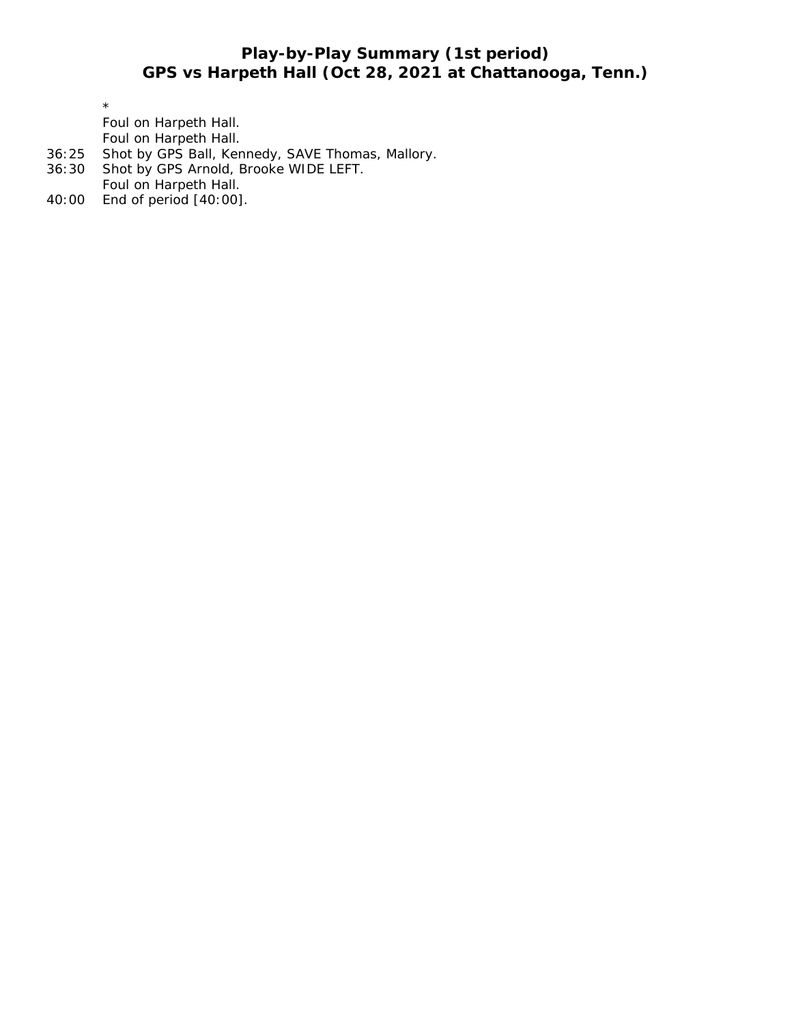# **Play-by-Play Summary (1st period) GPS vs Harpeth Hall (Oct 28, 2021 at Chattanooga, Tenn.)**

\*

Foul on Harpeth Hall. Foul on Harpeth Hall.

- 36:25 Shot by GPS Ball, Kennedy, SAVE Thomas, Mallory.
- 36:30 Shot by GPS Arnold, Brooke WIDE LEFT.
- Foul on Harpeth Hall.
- 40:00 End of period [40:00].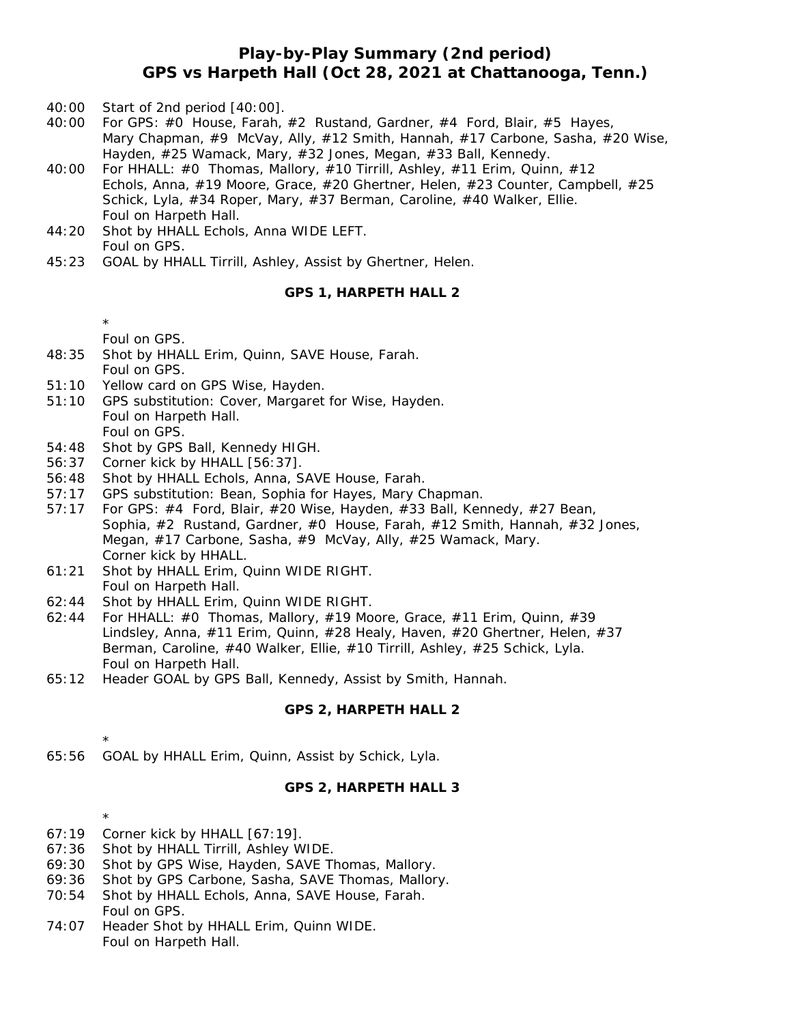## **Play-by-Play Summary (2nd period) GPS vs Harpeth Hall (Oct 28, 2021 at Chattanooga, Tenn.)**

- 40:00 Start of 2nd period [40:00].
- 40:00 For GPS: #0 House, Farah, #2 Rustand, Gardner, #4 Ford, Blair, #5 Hayes, Mary Chapman, #9 McVay, Ally, #12 Smith, Hannah, #17 Carbone, Sasha, #20 Wise, Hayden, #25 Wamack, Mary, #32 Jones, Megan, #33 Ball, Kennedy.
- 40:00 For HHALL: #0 Thomas, Mallory, #10 Tirrill, Ashley, #11 Erim, Quinn, #12 Echols, Anna, #19 Moore, Grace, #20 Ghertner, Helen, #23 Counter, Campbell, #25 Schick, Lyla, #34 Roper, Mary, #37 Berman, Caroline, #40 Walker, Ellie. Foul on Harpeth Hall.
- 44:20 Shot by HHALL Echols, Anna WIDE LEFT. Foul on GPS.
- 45:23 GOAL by HHALL Tirrill, Ashley, Assist by Ghertner, Helen.

#### **GPS 1, HARPETH HALL 2**

- \*
- Foul on GPS.
- 48:35 Shot by HHALL Erim, Quinn, SAVE House, Farah. Foul on GPS.
- 51:10 Yellow card on GPS Wise, Hayden.
- 51:10 GPS substitution: Cover, Margaret for Wise, Hayden. Foul on Harpeth Hall. Foul on GPS.
- 54:48 Shot by GPS Ball, Kennedy HIGH.
- 56:37 Corner kick by HHALL [56:37].
- 56:48 Shot by HHALL Echols, Anna, SAVE House, Farah.
- 57:17 GPS substitution: Bean, Sophia for Hayes, Mary Chapman.
- 57:17 For GPS: #4 Ford, Blair, #20 Wise, Hayden, #33 Ball, Kennedy, #27 Bean, Sophia, #2 Rustand, Gardner, #0 House, Farah, #12 Smith, Hannah, #32 Jones, Megan, #17 Carbone, Sasha, #9 McVay, Ally, #25 Wamack, Mary. Corner kick by HHALL.
- 61:21 Shot by HHALL Erim, Quinn WIDE RIGHT. Foul on Harpeth Hall.
- 62:44 Shot by HHALL Erim, Quinn WIDE RIGHT.
- 62:44 For HHALL: #0 Thomas, Mallory, #19 Moore, Grace, #11 Erim, Quinn, #39 Lindsley, Anna, #11 Erim, Quinn, #28 Healy, Haven, #20 Ghertner, Helen, #37 Berman, Caroline, #40 Walker, Ellie, #10 Tirrill, Ashley, #25 Schick, Lyla. Foul on Harpeth Hall.
- 65:12 Header GOAL by GPS Ball, Kennedy, Assist by Smith, Hannah.

### **GPS 2, HARPETH HALL 2**

65:56 GOAL by HHALL Erim, Quinn, Assist by Schick, Lyla.

### **GPS 2, HARPETH HALL 3**

67:19 Corner kick by HHALL [67:19].

\*

\*

- 67:36 Shot by HHALL Tirrill, Ashley WIDE.
- 69:30 Shot by GPS Wise, Hayden, SAVE Thomas, Mallory.
- 69:36 Shot by GPS Carbone, Sasha, SAVE Thomas, Mallory.
- 70:54 Shot by HHALL Echols, Anna, SAVE House, Farah. Foul on GPS.
- 74:07 Header Shot by HHALL Erim, Quinn WIDE. Foul on Harpeth Hall.